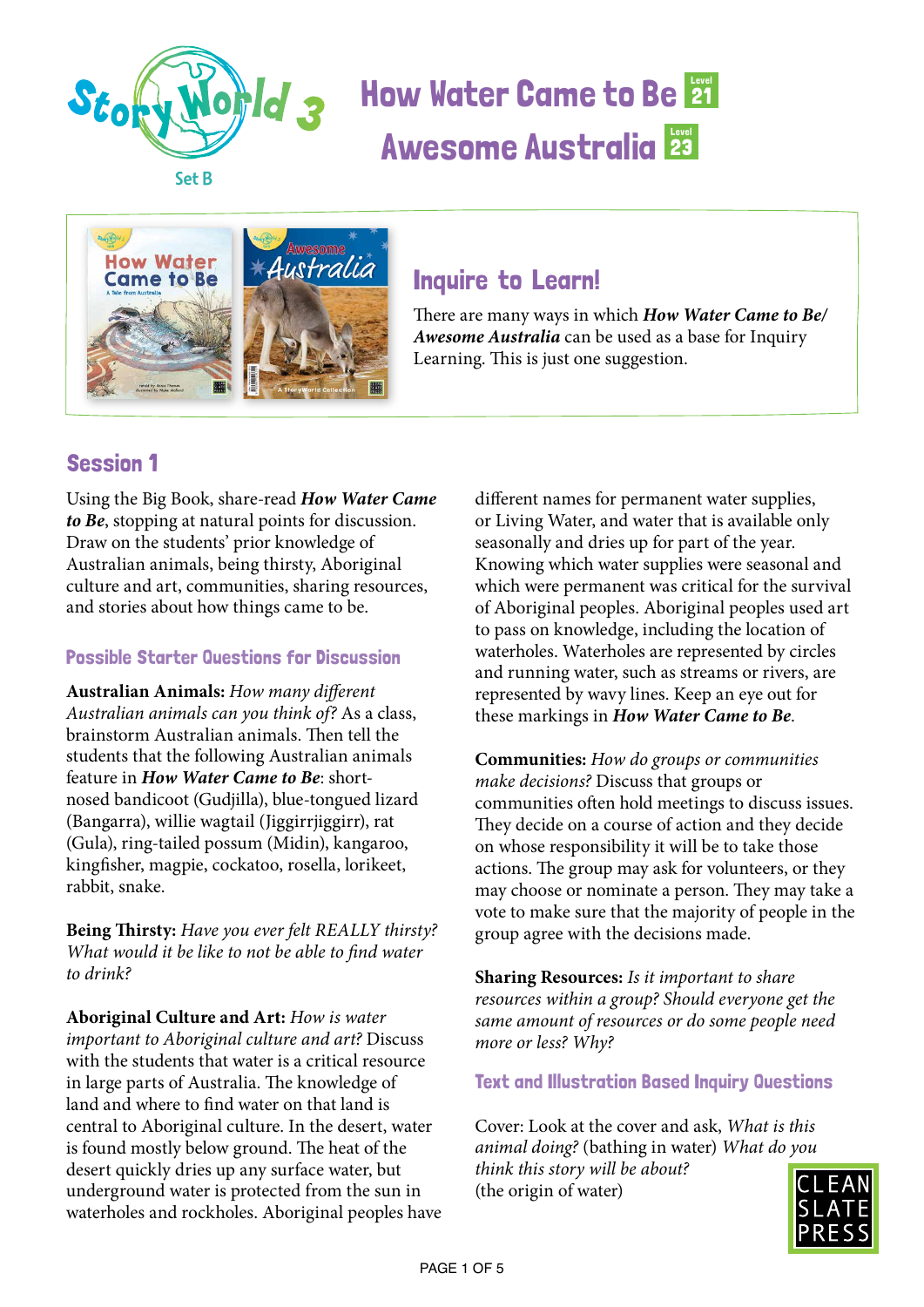



### Inquire to Learn!

There are many ways in which *How Water Came to Be/ Awesome Australia* can be used as a base for Inquiry Learning. This is just one suggestion.

### Session 1

Using the Big Book, share-read *How Water Came to Be*, stopping at natural points for discussion. Draw on the students' prior knowledge of Australian animals, being thirsty, Aboriginal culture and art, communities, sharing resources, and stories about how things came to be.

#### Possible Starter Questions for Discussion

**Australian Animals:** *How many different Australian animals can you think of?* As a class, brainstorm Australian animals. Then tell the students that the following Australian animals feature in *How Water Came to Be*: shortnosed bandicoot (Gudjilla), blue-tongued lizard (Bangarra), willie wagtail (Jiggirrjiggirr), rat (Gula), ring-tailed possum (Midin), kangaroo, kingfisher, magpie, cockatoo, rosella, lorikeet, rabbit, snake.

**Being Thirsty:** *Have you ever felt REALLY thirsty? What would it be like to not be able to find water to drink?*

**Aboriginal Culture and Art:** *How is water important to Aboriginal culture and art?* Discuss with the students that water is a critical resource in large parts of Australia. The knowledge of land and where to find water on that land is central to Aboriginal culture. In the desert, water is found mostly below ground. The heat of the desert quickly dries up any surface water, but underground water is protected from the sun in waterholes and rockholes. Aboriginal peoples have

different names for permanent water supplies, or Living Water, and water that is available only seasonally and dries up for part of the year. Knowing which water supplies were seasonal and which were permanent was critical for the survival of Aboriginal peoples. Aboriginal peoples used art to pass on knowledge, including the location of waterholes. Waterholes are represented by circles and running water, such as streams or rivers, are represented by wavy lines. Keep an eye out for these markings in *How Water Came to Be*.

**Communities:** *How do groups or communities make decisions?* Discuss that groups or communities often hold meetings to discuss issues. They decide on a course of action and they decide on whose responsibility it will be to take those actions. The group may ask for volunteers, or they may choose or nominate a person. They may take a vote to make sure that the majority of people in the group agree with the decisions made.

**Sharing Resources:** *Is it important to share resources within a group? Should everyone get the same amount of resources or do some people need more or less? Why?*

#### Text and Illustration Based Inquiry Questions

Cover: Look at the cover and ask, *What is this animal doing?* (bathing in water) *What do you think this story will be about?*  (the origin of water)

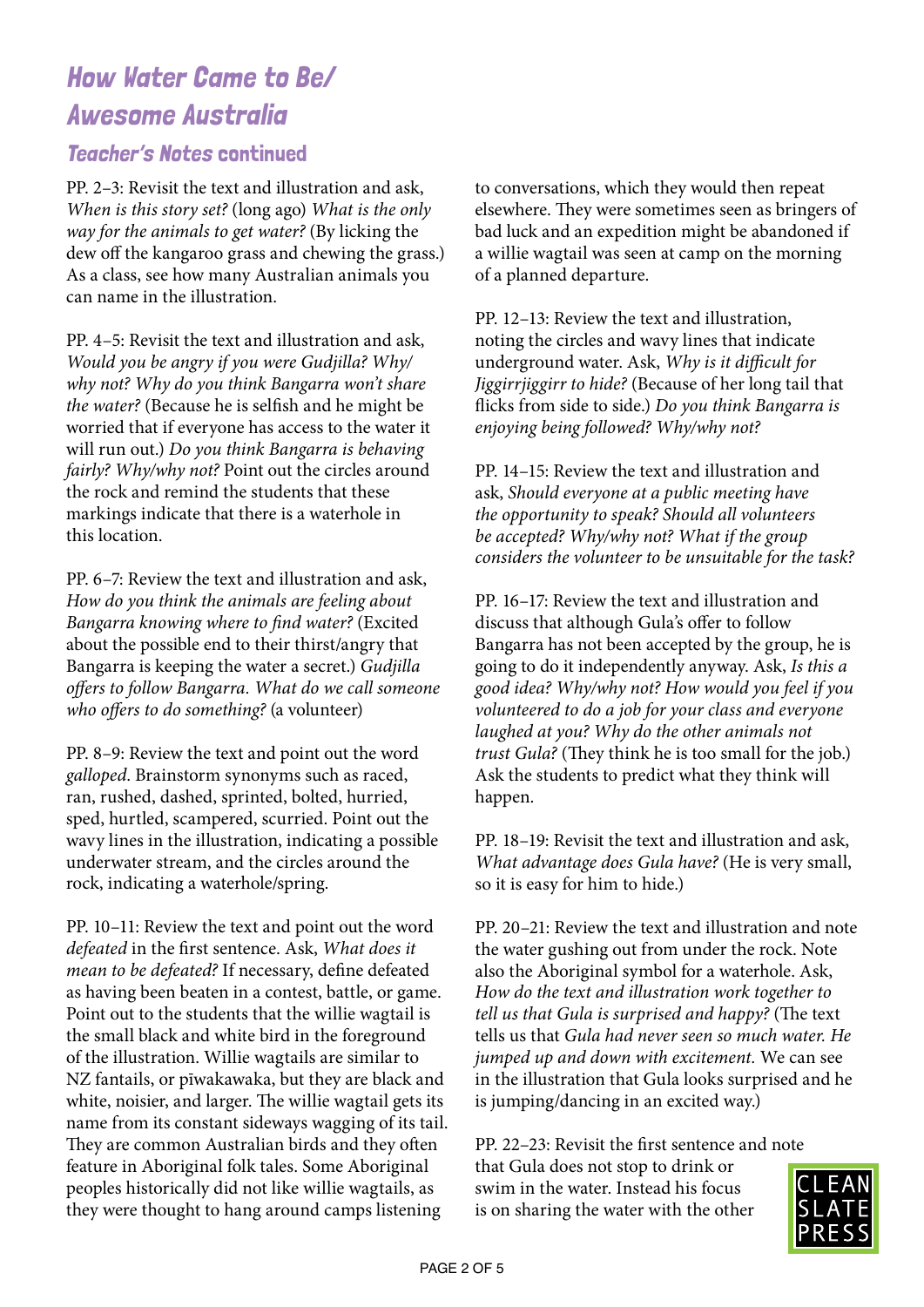#### Teacher's Notes continued

PP. 2–3: Revisit the text and illustration and ask, *When is this story set?* (long ago) *What is the only way for the animals to get water?* (By licking the dew off the kangaroo grass and chewing the grass.) As a class, see how many Australian animals you can name in the illustration.

PP. 4–5: Revisit the text and illustration and ask, *Would you be angry if you were Gudjilla? Why/ why not? Why do you think Bangarra won't share the water?* (Because he is selfish and he might be worried that if everyone has access to the water it will run out.) *Do you think Bangarra is behaving fairly? Why/why not?* Point out the circles around the rock and remind the students that these markings indicate that there is a waterhole in this location.

PP. 6–7: Review the text and illustration and ask, *How do you think the animals are feeling about Bangarra knowing where to find water?* (Excited about the possible end to their thirst/angry that Bangarra is keeping the water a secret.) *Gudjilla offers to follow Bangarra. What do we call someone who offers to do something?* (a volunteer)

PP. 8–9: Review the text and point out the word *galloped*. Brainstorm synonyms such as raced, ran, rushed, dashed, sprinted, bolted, hurried, sped, hurtled, scampered, scurried. Point out the wavy lines in the illustration, indicating a possible underwater stream, and the circles around the rock, indicating a waterhole/spring.

PP. 10–11: Review the text and point out the word *defeated* in the first sentence. Ask, *What does it mean to be defeated?* If necessary, define defeated as having been beaten in a contest, battle, or game. Point out to the students that the willie wagtail is the small black and white bird in the foreground of the illustration. Willie wagtails are similar to NZ fantails, or pīwakawaka, but they are black and white, noisier, and larger. The willie wagtail gets its name from its constant sideways wagging of its tail. They are common Australian birds and they often feature in Aboriginal folk tales. Some Aboriginal peoples historically did not like willie wagtails, as they were thought to hang around camps listening

to conversations, which they would then repeat elsewhere. They were sometimes seen as bringers of bad luck and an expedition might be abandoned if a willie wagtail was seen at camp on the morning of a planned departure.

PP. 12–13: Review the text and illustration, noting the circles and wavy lines that indicate underground water. Ask, *Why is it difficult for Jiggirrjiggirr to hide?* (Because of her long tail that flicks from side to side.) *Do you think Bangarra is enjoying being followed? Why/why not?*

PP. 14–15: Review the text and illustration and ask, *Should everyone at a public meeting have the opportunity to speak? Should all volunteers be accepted? Why/why not? What if the group considers the volunteer to be unsuitable for the task?*

PP. 16–17: Review the text and illustration and discuss that although Gula*'*s offer to follow Bangarra has not been accepted by the group, he is going to do it independently anyway. Ask, *Is this a good idea? Why/why not? How would you feel if you volunteered to do a job for your class and everyone laughed at you? Why do the other animals not trust Gula?* (They think he is too small for the job.) Ask the students to predict what they think will happen.

PP. 18–19: Revisit the text and illustration and ask, *What advantage does Gula have?* (He is very small, so it is easy for him to hide.)

PP. 20–21: Review the text and illustration and note the water gushing out from under the rock. Note also the Aboriginal symbol for a waterhole. Ask, *How do the text and illustration work together to tell us that Gula is surprised and happy?* (The text tells us that *Gula had never seen so much water. He jumped up and down with excitement.* We can see in the illustration that Gula looks surprised and he is jumping/dancing in an excited way.)

PP. 22–23: Revisit the first sentence and note that Gula does not stop to drink or swim in the water. Instead his focus is on sharing the water with the other

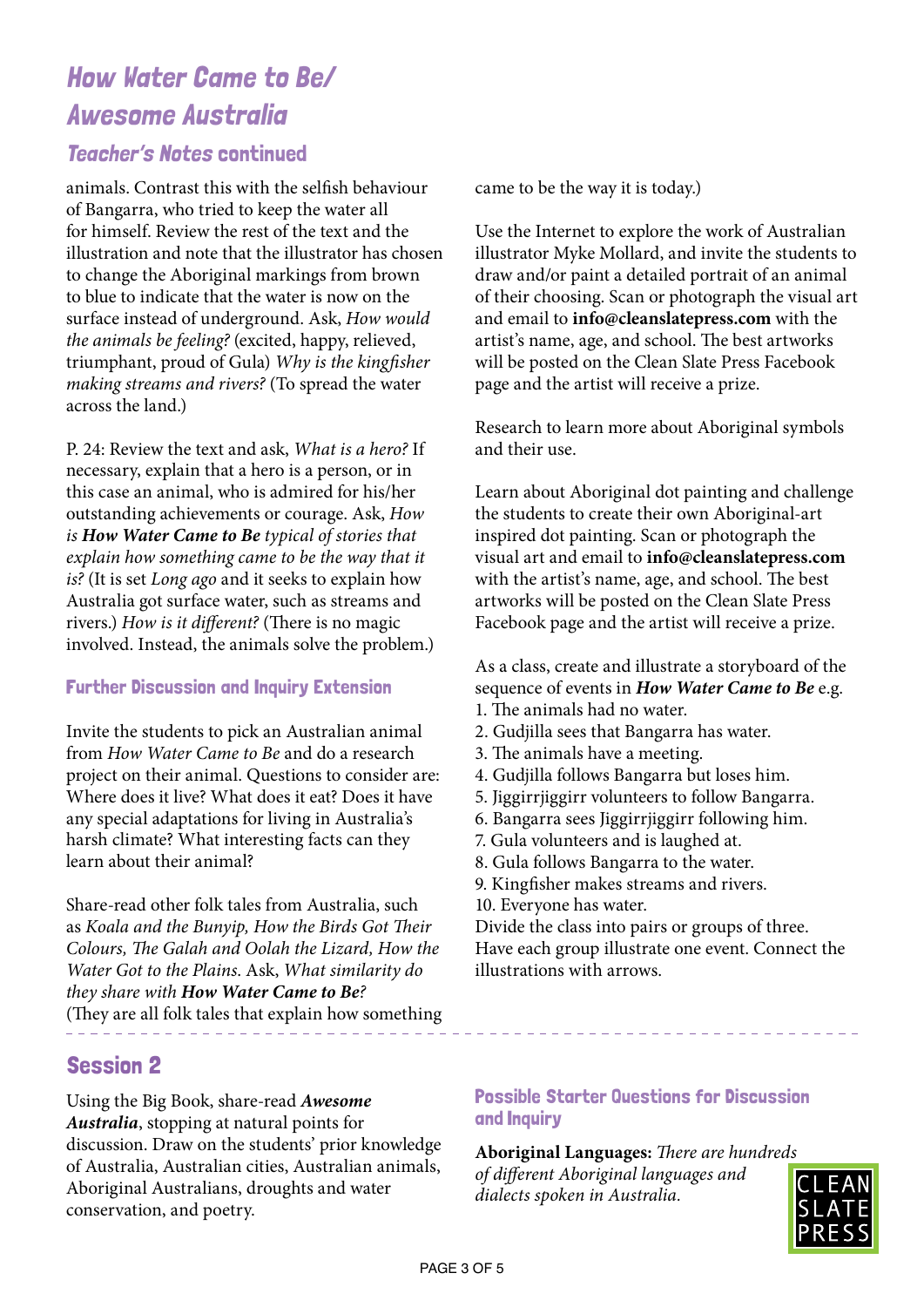#### Teacher's Notes continued

animals. Contrast this with the selfish behaviour of Bangarra, who tried to keep the water all for himself. Review the rest of the text and the illustration and note that the illustrator has chosen to change the Aboriginal markings from brown to blue to indicate that the water is now on the surface instead of underground. Ask, *How would the animals be feeling?* (excited, happy, relieved, triumphant, proud of Gula) *Why is the kingfisher making streams and rivers?* (To spread the water across the land.)

P. 24: Review the text and ask, *What is a hero?* If necessary, explain that a hero is a person, or in this case an animal, who is admired for his/her outstanding achievements or courage. Ask, *How is How Water Came to Be typical of stories that explain how something came to be the way that it is?* (It is set *Long ago* and it seeks to explain how Australia got surface water, such as streams and rivers.) *How is it different?* (There is no magic involved. Instead, the animals solve the problem.)

#### Further Discussion and Inquiry Extension

Invite the students to pick an Australian animal from *How Water Came to Be* and do a research project on their animal. Questions to consider are: Where does it live? What does it eat? Does it have any special adaptations for living in Australia*'*s harsh climate? What interesting facts can they learn about their animal?

Share-read other folk tales from Australia, such as *Koala and the Bunyip, How the Birds Got Their Colours, The Galah and Oolah the Lizard, How the Water Got to the Plains*. Ask, *What similarity do they share with How Water Came to Be?*  (They are all folk tales that explain how something

### Session 2

Using the Big Book, share-read *Awesome Australia*, stopping at natural points for discussion. Draw on the students' prior knowledge of Australia, Australian cities, Australian animals, Aboriginal Australians, droughts and water conservation, and poetry.

#### came to be the way it is today.)

Use the Internet to explore the work of Australian illustrator Myke Mollard, and invite the students to draw and/or paint a detailed portrait of an animal of their choosing. Scan or photograph the visual art and email to **info@cleanslatepress.com** with the artist's name, age, and school. The best artworks will be posted on the Clean Slate Press Facebook page and the artist will receive a prize.

Research to learn more about Aboriginal symbols and their use.

Learn about Aboriginal dot painting and challenge the students to create their own Aboriginal-art inspired dot painting. Scan or photograph the visual art and email to **info@cleanslatepress.com** with the artist's name, age, and school. The best artworks will be posted on the Clean Slate Press Facebook page and the artist will receive a prize.

As a class, create and illustrate a storyboard of the sequence of events in *How Water Came to Be* e.g.

- 1. The animals had no water.
- 2. Gudjilla sees that Bangarra has water.
- 3. The animals have a meeting.
- 4. Gudjilla follows Bangarra but loses him.
- 5. Jiggirrjiggirr volunteers to follow Bangarra.
- 6. Bangarra sees Jiggirrjiggirr following him.
- 7. Gula volunteers and is laughed at.
- 8. Gula follows Bangarra to the water.
- 9. Kingfisher makes streams and rivers.
- 10. Everyone has water.

Divide the class into pairs or groups of three. Have each group illustrate one event. Connect the illustrations with arrows.

\_\_\_\_\_\_\_\_\_\_\_\_\_\_\_\_\_\_\_\_\_\_\_\_\_\_\_\_

#### Possible Starter Questions for Discussion and Inquiry

**Aboriginal Languages:** *There are hundreds of different Aboriginal languages and dialects spoken in Australia.* 

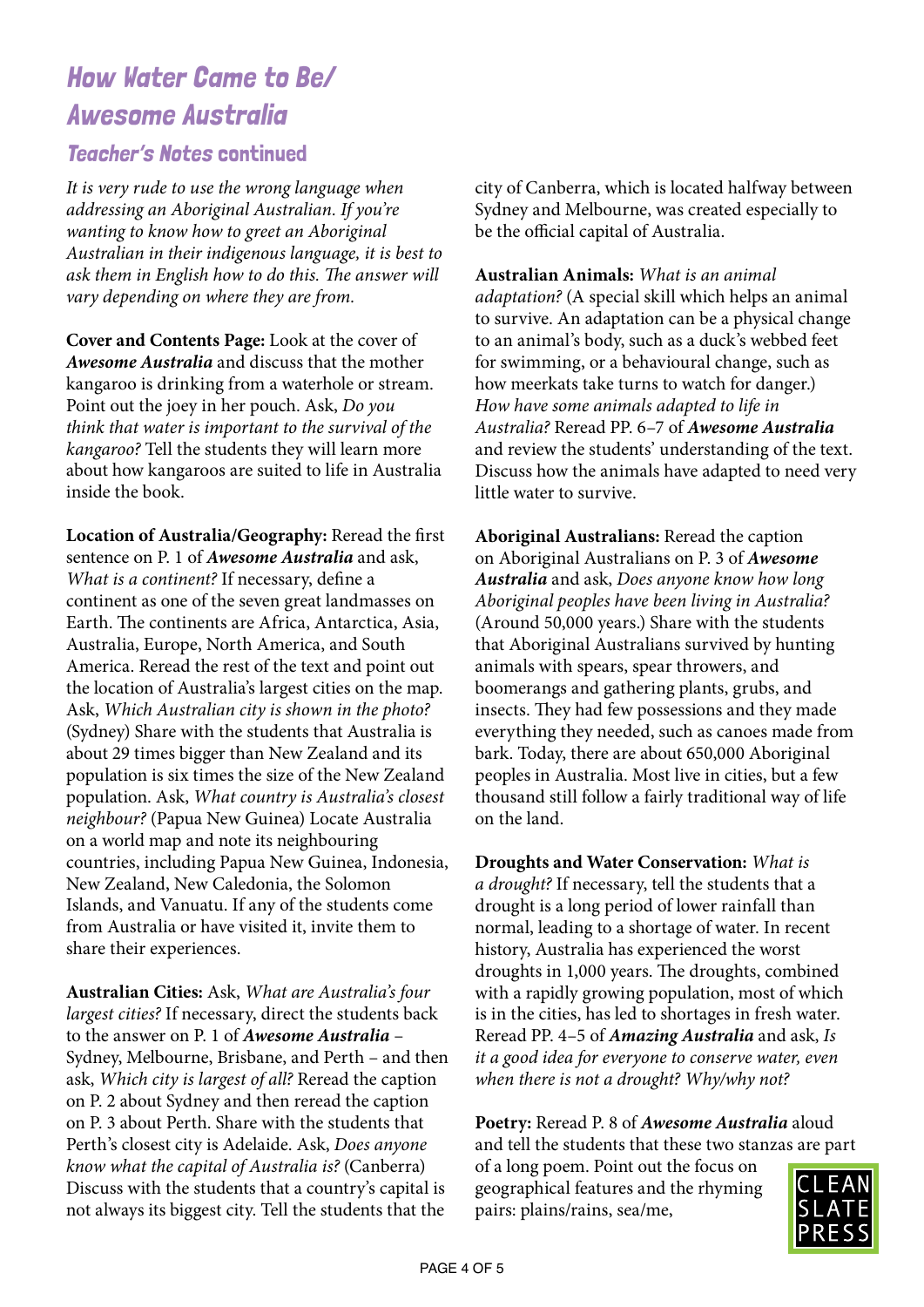#### Teacher's Notes continued

*It is very rude to use the wrong language when addressing an Aboriginal Australian. If you're wanting to know how to greet an Aboriginal Australian in their indigenous language, it is best to ask them in English how to do this. The answer will vary depending on where they are from.* 

**Cover and Contents Page:** Look at the cover of *Awesome Australia* and discuss that the mother kangaroo is drinking from a waterhole or stream. Point out the joey in her pouch. Ask, *Do you think that water is important to the survival of the kangaroo?* Tell the students they will learn more about how kangaroos are suited to life in Australia inside the book.

**Location of Australia/Geography:** Reread the first sentence on P. 1 of *Awesome Australia* and ask, *What is a continent?* If necessary, define a continent as one of the seven great landmasses on Earth. The continents are Africa, Antarctica, Asia, Australia, Europe, North America, and South America. Reread the rest of the text and point out the location of Australia's largest cities on the map. Ask, *Which Australian city is shown in the photo?*  (Sydney) Share with the students that Australia is about 29 times bigger than New Zealand and its population is six times the size of the New Zealand population. Ask, *What country is Australia's closest neighbour?* (Papua New Guinea) Locate Australia on a world map and note its neighbouring countries, including Papua New Guinea, Indonesia, New Zealand, New Caledonia, the Solomon Islands, and Vanuatu. If any of the students come from Australia or have visited it, invite them to share their experiences.

**Australian Cities:** Ask, *What are Australia's four largest cities?* If necessary, direct the students back to the answer on P. 1 of *Awesome Australia* – Sydney, Melbourne, Brisbane, and Perth – and then ask, *Which city is largest of all?* Reread the caption on P. 2 about Sydney and then reread the caption on P. 3 about Perth. Share with the students that Perth's closest city is Adelaide. Ask, *Does anyone know what the capital of Australia is?* (Canberra) Discuss with the students that a country's capital is not always its biggest city. Tell the students that the

city of Canberra, which is located halfway between Sydney and Melbourne, was created especially to be the official capital of Australia.

**Australian Animals:** *What is an animal adaptation?* (A special skill which helps an animal to survive. An adaptation can be a physical change to an animal's body, such as a duck's webbed feet for swimming, or a behavioural change, such as how meerkats take turns to watch for danger.) *How have some animals adapted to life in Australia?* Reread PP. 6–7 of *Awesome Australia*  and review the students' understanding of the text. Discuss how the animals have adapted to need very little water to survive.

**Aboriginal Australians:** Reread the caption on Aboriginal Australians on P. 3 of *Awesome Australia* and ask, *Does anyone know how long Aboriginal peoples have been living in Australia?*  (Around 50,000 years.) Share with the students that Aboriginal Australians survived by hunting animals with spears, spear throwers, and boomerangs and gathering plants, grubs, and insects. They had few possessions and they made everything they needed, such as canoes made from bark. Today, there are about 650,000 Aboriginal peoples in Australia. Most live in cities, but a few thousand still follow a fairly traditional way of life on the land.

**Droughts and Water Conservation:** *What is a drought?* If necessary, tell the students that a drought is a long period of lower rainfall than normal, leading to a shortage of water. In recent history, Australia has experienced the worst droughts in 1,000 years. The droughts, combined with a rapidly growing population, most of which is in the cities, has led to shortages in fresh water. Reread PP. 4–5 of *Amazing Australia* and ask, *Is it a good idea for everyone to conserve water, even when there is not a drought? Why/why not?*

**Poetry:** Reread P. 8 of *Awesome Australia* aloud and tell the students that these two stanzas are part of a long poem. Point out the focus on geographical features and the rhyming pairs: plains/rains, sea/me,